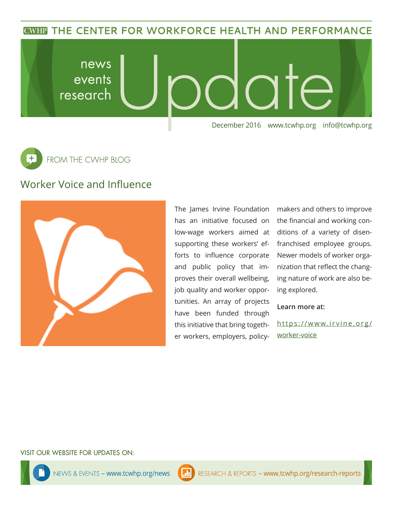**CWHP THE CENTER FOR WORKFORCE HEALTH AND PERFORMANCE** 

news late events research December 2016 www.tcwhp.org info@tcwhp.org



## Worker Voice and Influence



The James Irvine Foundation has an initiative focused on low-wage workers aimed at supporting these workers' efforts to influence corporate and public policy that improves their overall wellbeing, job quality and worker opportunities. An array of projects have been funded through this initiative that bring together workers, employers, policy-

makers and others to improve the financial and working conditions of a variety of disenfranchised employee groups. Newer models of worker organization that reflect the changing nature of work are also being explored.

**Learn more at:**

https://www.irvine.org/ worker-voice

VISIT OUR WEBSITE FOR UPDATES ON: